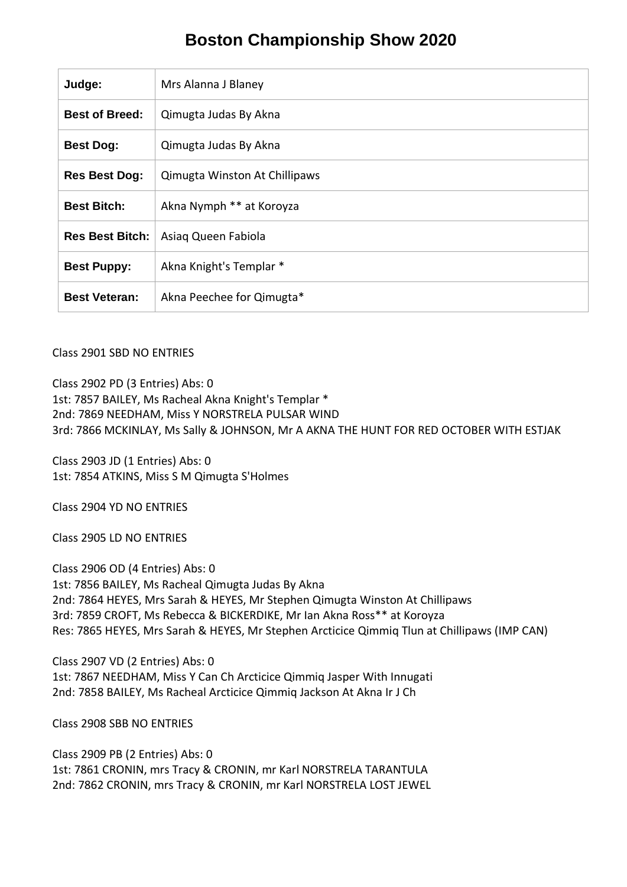# **Boston Championship Show 2020**

| Judge:                 | Mrs Alanna J Blaney           |
|------------------------|-------------------------------|
| <b>Best of Breed:</b>  | Qimugta Judas By Akna         |
| <b>Best Dog:</b>       | Qimugta Judas By Akna         |
| <b>Res Best Dog:</b>   | Qimugta Winston At Chillipaws |
| <b>Best Bitch:</b>     | Akna Nymph ** at Koroyza      |
| <b>Res Best Bitch:</b> | Asiag Queen Fabiola           |
| <b>Best Puppy:</b>     | Akna Knight's Templar *       |
| <b>Best Veteran:</b>   | Akna Peechee for Qimugta*     |

#### Class 2901 SBD NO ENTRIES

Class 2902 PD (3 Entries) Abs: 0

1st: 7857 BAILEY, Ms Racheal Akna Knight's Templar \* 2nd: 7869 NEEDHAM, Miss Y NORSTRELA PULSAR WIND 3rd: 7866 MCKINLAY, Ms Sally & JOHNSON, Mr A AKNA THE HUNT FOR RED OCTOBER WITH ESTJAK

Class 2903 JD (1 Entries) Abs: 0 1st: 7854 ATKINS, Miss S M Qimugta S'Holmes

Class 2904 YD NO ENTRIES

Class 2905 LD NO ENTRIES

Class 2906 OD (4 Entries) Abs: 0 1st: 7856 BAILEY, Ms Racheal Qimugta Judas By Akna 2nd: 7864 HEYES, Mrs Sarah & HEYES, Mr Stephen Qimugta Winston At Chillipaws 3rd: 7859 CROFT, Ms Rebecca & BICKERDIKE, Mr Ian Akna Ross\*\* at Koroyza Res: 7865 HEYES, Mrs Sarah & HEYES, Mr Stephen Arcticice Qimmiq Tlun at Chillipaws (IMP CAN)

Class 2907 VD (2 Entries) Abs: 0 1st: 7867 NEEDHAM, Miss Y Can Ch Arcticice Qimmiq Jasper With Innugati 2nd: 7858 BAILEY, Ms Racheal Arcticice Qimmiq Jackson At Akna Ir J Ch

Class 2908 SBB NO ENTRIES

Class 2909 PB (2 Entries) Abs: 0 1st: 7861 CRONIN, mrs Tracy & CRONIN, mr Karl NORSTRELA TARANTULA 2nd: 7862 CRONIN, mrs Tracy & CRONIN, mr Karl NORSTRELA LOST JEWEL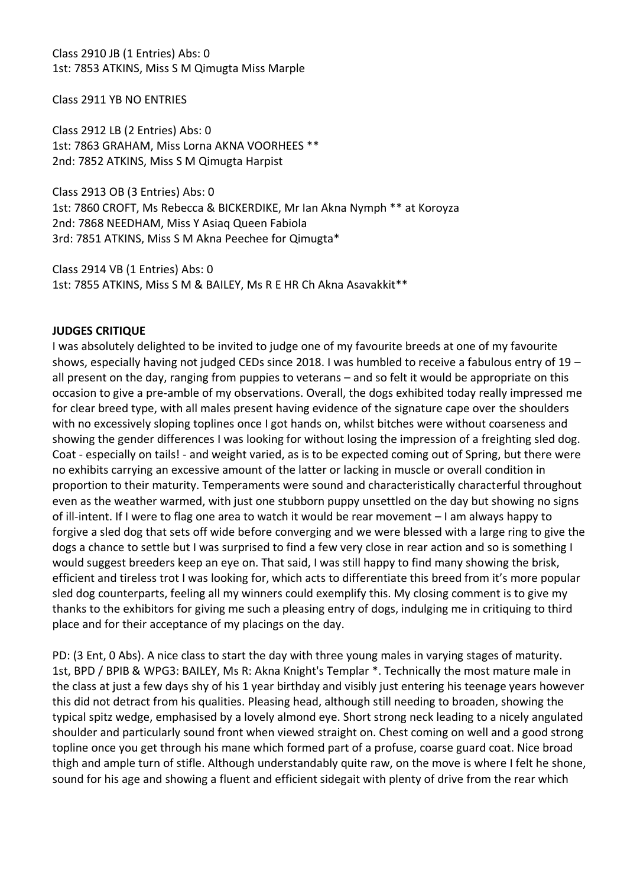Class 2910 JB (1 Entries) Abs: 0 1st: 7853 ATKINS, Miss S M Qimugta Miss Marple

Class 2911 YB NO ENTRIES

Class 2912 LB (2 Entries) Abs: 0 1st: 7863 GRAHAM, Miss Lorna AKNA VOORHEES \*\* 2nd: 7852 ATKINS, Miss S M Qimugta Harpist

Class 2913 OB (3 Entries) Abs: 0 1st: 7860 CROFT, Ms Rebecca & BICKERDIKE, Mr Ian Akna Nymph \*\* at Koroyza 2nd: 7868 NEEDHAM, Miss Y Asiaq Queen Fabiola 3rd: 7851 ATKINS, Miss S M Akna Peechee for Qimugta\*

Class 2914 VB (1 Entries) Abs: 0 1st: 7855 ATKINS, Miss S M & BAILEY, Ms R E HR Ch Akna Asavakkit\*\*

#### **JUDGES CRITIQUE**

I was absolutely delighted to be invited to judge one of my favourite breeds at one of my favourite shows, especially having not judged CEDs since 2018. I was humbled to receive a fabulous entry of 19 – all present on the day, ranging from puppies to veterans – and so felt it would be appropriate on this occasion to give a pre-amble of my observations. Overall, the dogs exhibited today really impressed me for clear breed type, with all males present having evidence of the signature cape over the shoulders with no excessively sloping toplines once I got hands on, whilst bitches were without coarseness and showing the gender differences I was looking for without losing the impression of a freighting sled dog. Coat - especially on tails! - and weight varied, as is to be expected coming out of Spring, but there were no exhibits carrying an excessive amount of the latter or lacking in muscle or overall condition in proportion to their maturity. Temperaments were sound and characteristically characterful throughout even as the weather warmed, with just one stubborn puppy unsettled on the day but showing no signs of ill-intent. If I were to flag one area to watch it would be rear movement – I am always happy to forgive a sled dog that sets off wide before converging and we were blessed with a large ring to give the dogs a chance to settle but I was surprised to find a few very close in rear action and so is something I would suggest breeders keep an eye on. That said, I was still happy to find many showing the brisk, efficient and tireless trot I was looking for, which acts to differentiate this breed from it's more popular sled dog counterparts, feeling all my winners could exemplify this. My closing comment is to give my thanks to the exhibitors for giving me such a pleasing entry of dogs, indulging me in critiquing to third place and for their acceptance of my placings on the day.

PD: (3 Ent, 0 Abs). A nice class to start the day with three young males in varying stages of maturity. 1st, BPD / BPIB & WPG3: BAILEY, Ms R: Akna Knight's Templar \*. Technically the most mature male in the class at just a few days shy of his 1 year birthday and visibly just entering his teenage years however this did not detract from his qualities. Pleasing head, although still needing to broaden, showing the typical spitz wedge, emphasised by a lovely almond eye. Short strong neck leading to a nicely angulated shoulder and particularly sound front when viewed straight on. Chest coming on well and a good strong topline once you get through his mane which formed part of a profuse, coarse guard coat. Nice broad thigh and ample turn of stifle. Although understandably quite raw, on the move is where I felt he shone, sound for his age and showing a fluent and efficient sidegait with plenty of drive from the rear which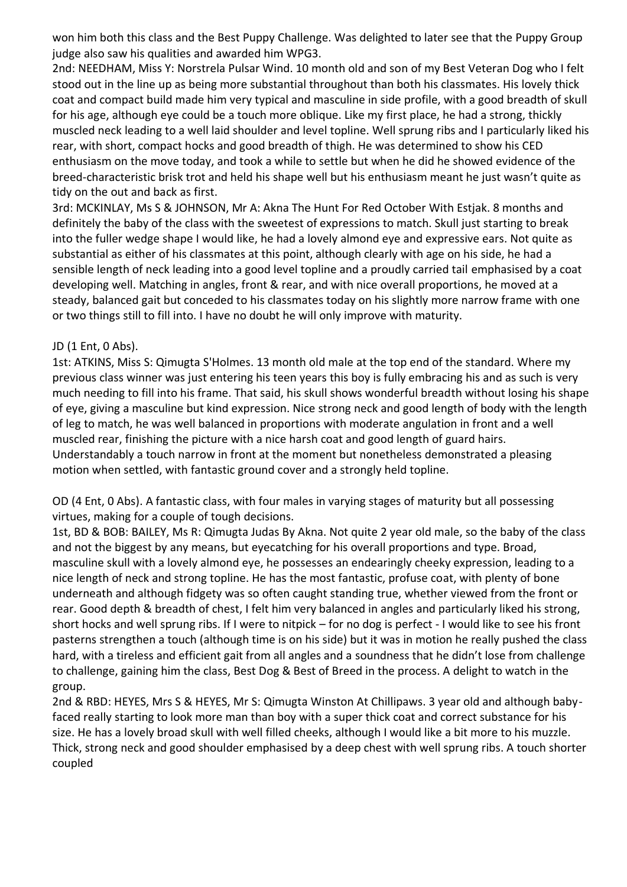won him both this class and the Best Puppy Challenge. Was delighted to later see that the Puppy Group judge also saw his qualities and awarded him WPG3.

2nd: NEEDHAM, Miss Y: Norstrela Pulsar Wind. 10 month old and son of my Best Veteran Dog who I felt stood out in the line up as being more substantial throughout than both his classmates. His lovely thick coat and compact build made him very typical and masculine in side profile, with a good breadth of skull for his age, although eye could be a touch more oblique. Like my first place, he had a strong, thickly muscled neck leading to a well laid shoulder and level topline. Well sprung ribs and I particularly liked his rear, with short, compact hocks and good breadth of thigh. He was determined to show his CED enthusiasm on the move today, and took a while to settle but when he did he showed evidence of the breed-characteristic brisk trot and held his shape well but his enthusiasm meant he just wasn't quite as tidy on the out and back as first.

3rd: MCKINLAY, Ms S & JOHNSON, Mr A: Akna The Hunt For Red October With Estjak. 8 months and definitely the baby of the class with the sweetest of expressions to match. Skull just starting to break into the fuller wedge shape I would like, he had a lovely almond eye and expressive ears. Not quite as substantial as either of his classmates at this point, although clearly with age on his side, he had a sensible length of neck leading into a good level topline and a proudly carried tail emphasised by a coat developing well. Matching in angles, front & rear, and with nice overall proportions, he moved at a steady, balanced gait but conceded to his classmates today on his slightly more narrow frame with one or two things still to fill into. I have no doubt he will only improve with maturity.

#### JD (1 Ent, 0 Abs).

1st: ATKINS, Miss S: Qimugta S'Holmes. 13 month old male at the top end of the standard. Where my previous class winner was just entering his teen years this boy is fully embracing his and as such is very much needing to fill into his frame. That said, his skull shows wonderful breadth without losing his shape of eye, giving a masculine but kind expression. Nice strong neck and good length of body with the length of leg to match, he was well balanced in proportions with moderate angulation in front and a well muscled rear, finishing the picture with a nice harsh coat and good length of guard hairs. Understandably a touch narrow in front at the moment but nonetheless demonstrated a pleasing motion when settled, with fantastic ground cover and a strongly held topline.

OD (4 Ent, 0 Abs). A fantastic class, with four males in varying stages of maturity but all possessing virtues, making for a couple of tough decisions.

1st, BD & BOB: BAILEY, Ms R: Qimugta Judas By Akna. Not quite 2 year old male, so the baby of the class and not the biggest by any means, but eyecatching for his overall proportions and type. Broad, masculine skull with a lovely almond eye, he possesses an endearingly cheeky expression, leading to a nice length of neck and strong topline. He has the most fantastic, profuse coat, with plenty of bone underneath and although fidgety was so often caught standing true, whether viewed from the front or rear. Good depth & breadth of chest, I felt him very balanced in angles and particularly liked his strong, short hocks and well sprung ribs. If I were to nitpick – for no dog is perfect - I would like to see his front pasterns strengthen a touch (although time is on his side) but it was in motion he really pushed the class hard, with a tireless and efficient gait from all angles and a soundness that he didn't lose from challenge to challenge, gaining him the class, Best Dog & Best of Breed in the process. A delight to watch in the group.

2nd & RBD: HEYES, Mrs S & HEYES, Mr S: Qimugta Winston At Chillipaws. 3 year old and although babyfaced really starting to look more man than boy with a super thick coat and correct substance for his size. He has a lovely broad skull with well filled cheeks, although I would like a bit more to his muzzle. Thick, strong neck and good shoulder emphasised by a deep chest with well sprung ribs. A touch shorter coupled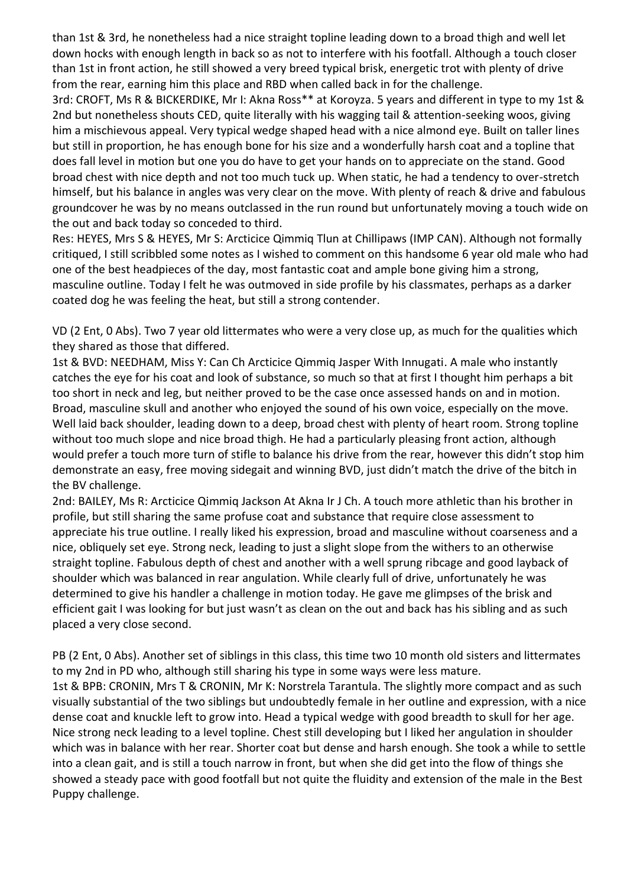than 1st & 3rd, he nonetheless had a nice straight topline leading down to a broad thigh and well let down hocks with enough length in back so as not to interfere with his footfall. Although a touch closer than 1st in front action, he still showed a very breed typical brisk, energetic trot with plenty of drive from the rear, earning him this place and RBD when called back in for the challenge.

3rd: CROFT, Ms R & BICKERDIKE, Mr I: Akna Ross\*\* at Koroyza. 5 years and different in type to my 1st & 2nd but nonetheless shouts CED, quite literally with his wagging tail & attention-seeking woos, giving him a mischievous appeal. Very typical wedge shaped head with a nice almond eye. Built on taller lines but still in proportion, he has enough bone for his size and a wonderfully harsh coat and a topline that does fall level in motion but one you do have to get your hands on to appreciate on the stand. Good broad chest with nice depth and not too much tuck up. When static, he had a tendency to over-stretch himself, but his balance in angles was very clear on the move. With plenty of reach & drive and fabulous groundcover he was by no means outclassed in the run round but unfortunately moving a touch wide on the out and back today so conceded to third.

Res: HEYES, Mrs S & HEYES, Mr S: Arcticice Qimmiq Tlun at Chillipaws (IMP CAN). Although not formally critiqued, I still scribbled some notes as I wished to comment on this handsome 6 year old male who had one of the best headpieces of the day, most fantastic coat and ample bone giving him a strong, masculine outline. Today I felt he was outmoved in side profile by his classmates, perhaps as a darker coated dog he was feeling the heat, but still a strong contender.

VD (2 Ent, 0 Abs). Two 7 year old littermates who were a very close up, as much for the qualities which they shared as those that differed.

1st & BVD: NEEDHAM, Miss Y: Can Ch Arcticice Qimmiq Jasper With Innugati. A male who instantly catches the eye for his coat and look of substance, so much so that at first I thought him perhaps a bit too short in neck and leg, but neither proved to be the case once assessed hands on and in motion. Broad, masculine skull and another who enjoyed the sound of his own voice, especially on the move. Well laid back shoulder, leading down to a deep, broad chest with plenty of heart room. Strong topline without too much slope and nice broad thigh. He had a particularly pleasing front action, although would prefer a touch more turn of stifle to balance his drive from the rear, however this didn't stop him demonstrate an easy, free moving sidegait and winning BVD, just didn't match the drive of the bitch in the BV challenge.

2nd: BAILEY, Ms R: Arcticice Qimmiq Jackson At Akna Ir J Ch. A touch more athletic than his brother in profile, but still sharing the same profuse coat and substance that require close assessment to appreciate his true outline. I really liked his expression, broad and masculine without coarseness and a nice, obliquely set eye. Strong neck, leading to just a slight slope from the withers to an otherwise straight topline. Fabulous depth of chest and another with a well sprung ribcage and good layback of shoulder which was balanced in rear angulation. While clearly full of drive, unfortunately he was determined to give his handler a challenge in motion today. He gave me glimpses of the brisk and efficient gait I was looking for but just wasn't as clean on the out and back has his sibling and as such placed a very close second.

PB (2 Ent, 0 Abs). Another set of siblings in this class, this time two 10 month old sisters and littermates to my 2nd in PD who, although still sharing his type in some ways were less mature. 1st & BPB: CRONIN, Mrs T & CRONIN, Mr K: Norstrela Tarantula. The slightly more compact and as such visually substantial of the two siblings but undoubtedly female in her outline and expression, with a nice dense coat and knuckle left to grow into. Head a typical wedge with good breadth to skull for her age. Nice strong neck leading to a level topline. Chest still developing but I liked her angulation in shoulder which was in balance with her rear. Shorter coat but dense and harsh enough. She took a while to settle into a clean gait, and is still a touch narrow in front, but when she did get into the flow of things she showed a steady pace with good footfall but not quite the fluidity and extension of the male in the Best Puppy challenge.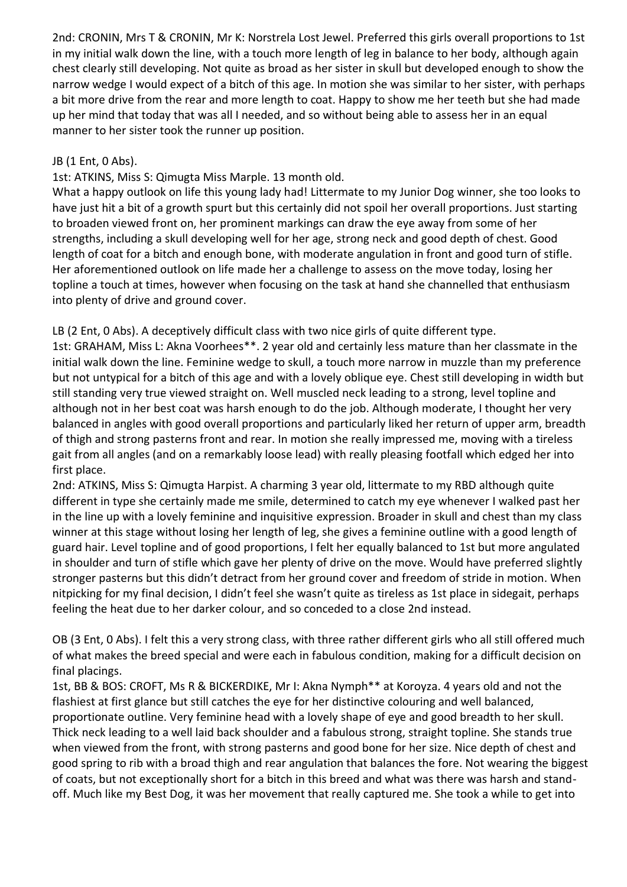2nd: CRONIN, Mrs T & CRONIN, Mr K: Norstrela Lost Jewel. Preferred this girls overall proportions to 1st in my initial walk down the line, with a touch more length of leg in balance to her body, although again chest clearly still developing. Not quite as broad as her sister in skull but developed enough to show the narrow wedge I would expect of a bitch of this age. In motion she was similar to her sister, with perhaps a bit more drive from the rear and more length to coat. Happy to show me her teeth but she had made up her mind that today that was all I needed, and so without being able to assess her in an equal manner to her sister took the runner up position.

## JB (1 Ent, 0 Abs).

1st: ATKINS, Miss S: Qimugta Miss Marple. 13 month old.

What a happy outlook on life this young lady had! Littermate to my Junior Dog winner, she too looks to have just hit a bit of a growth spurt but this certainly did not spoil her overall proportions. Just starting to broaden viewed front on, her prominent markings can draw the eye away from some of her strengths, including a skull developing well for her age, strong neck and good depth of chest. Good length of coat for a bitch and enough bone, with moderate angulation in front and good turn of stifle. Her aforementioned outlook on life made her a challenge to assess on the move today, losing her topline a touch at times, however when focusing on the task at hand she channelled that enthusiasm into plenty of drive and ground cover.

LB (2 Ent, 0 Abs). A deceptively difficult class with two nice girls of quite different type.

1st: GRAHAM, Miss L: Akna Voorhees\*\*. 2 year old and certainly less mature than her classmate in the initial walk down the line. Feminine wedge to skull, a touch more narrow in muzzle than my preference but not untypical for a bitch of this age and with a lovely oblique eye. Chest still developing in width but still standing very true viewed straight on. Well muscled neck leading to a strong, level topline and although not in her best coat was harsh enough to do the job. Although moderate, I thought her very balanced in angles with good overall proportions and particularly liked her return of upper arm, breadth of thigh and strong pasterns front and rear. In motion she really impressed me, moving with a tireless gait from all angles (and on a remarkably loose lead) with really pleasing footfall which edged her into first place.

2nd: ATKINS, Miss S: Qimugta Harpist. A charming 3 year old, littermate to my RBD although quite different in type she certainly made me smile, determined to catch my eye whenever I walked past her in the line up with a lovely feminine and inquisitive expression. Broader in skull and chest than my class winner at this stage without losing her length of leg, she gives a feminine outline with a good length of guard hair. Level topline and of good proportions, I felt her equally balanced to 1st but more angulated in shoulder and turn of stifle which gave her plenty of drive on the move. Would have preferred slightly stronger pasterns but this didn't detract from her ground cover and freedom of stride in motion. When nitpicking for my final decision, I didn't feel she wasn't quite as tireless as 1st place in sidegait, perhaps feeling the heat due to her darker colour, and so conceded to a close 2nd instead.

OB (3 Ent, 0 Abs). I felt this a very strong class, with three rather different girls who all still offered much of what makes the breed special and were each in fabulous condition, making for a difficult decision on final placings.

1st, BB & BOS: CROFT, Ms R & BICKERDIKE, Mr I: Akna Nymph\*\* at Koroyza. 4 years old and not the flashiest at first glance but still catches the eye for her distinctive colouring and well balanced, proportionate outline. Very feminine head with a lovely shape of eye and good breadth to her skull. Thick neck leading to a well laid back shoulder and a fabulous strong, straight topline. She stands true when viewed from the front, with strong pasterns and good bone for her size. Nice depth of chest and good spring to rib with a broad thigh and rear angulation that balances the fore. Not wearing the biggest of coats, but not exceptionally short for a bitch in this breed and what was there was harsh and standoff. Much like my Best Dog, it was her movement that really captured me. She took a while to get into